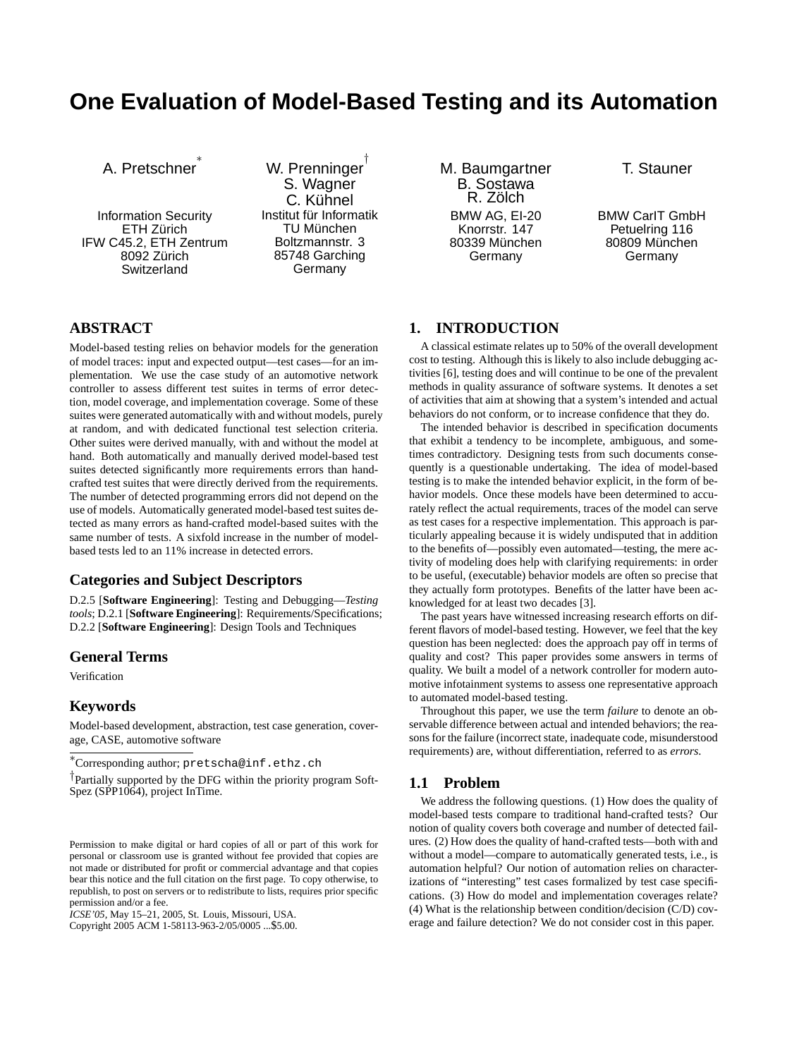# **One Evaluation of Model-Based Testing and its Automation**

A. Pretschner ∗

Information Security ETH Zürich IFW C45.2, ETH Zentrum 8092 Zürich **Switzerland** 

W. Prenninger<sup>†</sup> S. Wagner C. Kühnel Institut für Informatik TU München Boltzmannstr. 3 85748 Garching Germany

M. Baumgartner B. Sostawa R. Zölch BMW AG, EI-20 Knorrstr. 147 80339 München Germany

**1. INTRODUCTION**

T. Stauner

BMW CarIT GmbH Petuelring 116 80809 Munchen ¨ Germany

# **ABSTRACT**

Model-based testing relies on behavior models for the generation of model traces: input and expected output—test cases—for an implementation. We use the case study of an automotive network controller to assess different test suites in terms of error detection, model coverage, and implementation coverage. Some of these suites were generated automatically with and without models, purely at random, and with dedicated functional test selection criteria. Other suites were derived manually, with and without the model at hand. Both automatically and manually derived model-based test suites detected significantly more requirements errors than handcrafted test suites that were directly derived from the requirements. The number of detected programming errors did not depend on the use of models. Automatically generated model-based test suites detected as many errors as hand-crafted model-based suites with the same number of tests. A sixfold increase in the number of modelbased tests led to an 11% increase in detected errors.

# **Categories and Subject Descriptors**

D.2.5 [**Software Engineering**]: Testing and Debugging—*Testing tools*; D.2.1 [**Software Engineering**]: Requirements/Specifications; D.2.2 [**Software Engineering**]: Design Tools and Techniques

## **General Terms**

Verification

## **Keywords**

Model-based development, abstraction, test case generation, coverage, CASE, automotive software

*ICSE'05,* May 15–21, 2005, St. Louis, Missouri, USA.

Copyright 2005 ACM 1-58113-963-2/05/0005 ...\$5.00.

of activities that aim at showing that a system's intended and actual behaviors do not conform, or to increase confidence that they do. The intended behavior is described in specification documents that exhibit a tendency to be incomplete, ambiguous, and sometimes contradictory. Designing tests from such documents consequently is a questionable undertaking. The idea of model-based testing is to make the intended behavior explicit, in the form of behavior models. Once these models have been determined to accurately reflect the actual requirements, traces of the model can serve as test cases for a respective implementation. This approach is particularly appealing because it is widely undisputed that in addition

A classical estimate relates up to 50% of the overall development cost to testing. Although this is likely to also include debugging activities [6], testing does and will continue to be one of the prevalent methods in quality assurance of software systems. It denotes a set

to the benefits of—possibly even automated—testing, the mere activity of modeling does help with clarifying requirements: in order to be useful, (executable) behavior models are often so precise that they actually form prototypes. Benefits of the latter have been acknowledged for at least two decades [3].

The past years have witnessed increasing research efforts on different flavors of model-based testing. However, we feel that the key question has been neglected: does the approach pay off in terms of quality and cost? This paper provides some answers in terms of quality. We built a model of a network controller for modern automotive infotainment systems to assess one representative approach to automated model-based testing.

Throughout this paper, we use the term *failure* to denote an observable difference between actual and intended behaviors; the reasons for the failure (incorrect state, inadequate code, misunderstood requirements) are, without differentiation, referred to as *errors*.

## **1.1 Problem**

We address the following questions. (1) How does the quality of model-based tests compare to traditional hand-crafted tests? Our notion of quality covers both coverage and number of detected failures. (2) How does the quality of hand-crafted tests—both with and without a model—compare to automatically generated tests, i.e., is automation helpful? Our notion of automation relies on characterizations of "interesting" test cases formalized by test case specifications. (3) How do model and implementation coverages relate? (4) What is the relationship between condition/decision (C/D) coverage and failure detection? We do not consider cost in this paper.

<sup>∗</sup>Corresponding author; pretscha@inf.ethz.ch

<sup>†</sup> Partially supported by the DFG within the priority program Soft-Spez (SPP1064), project InTime.

Permission to make digital or hard copies of all or part of this work for personal or classroom use is granted without fee provided that copies are not made or distributed for profit or commercial advantage and that copies bear this notice and the full citation on the first page. To copy otherwise, to republish, to post on servers or to redistribute to lists, requires prior specific permission and/or a fee.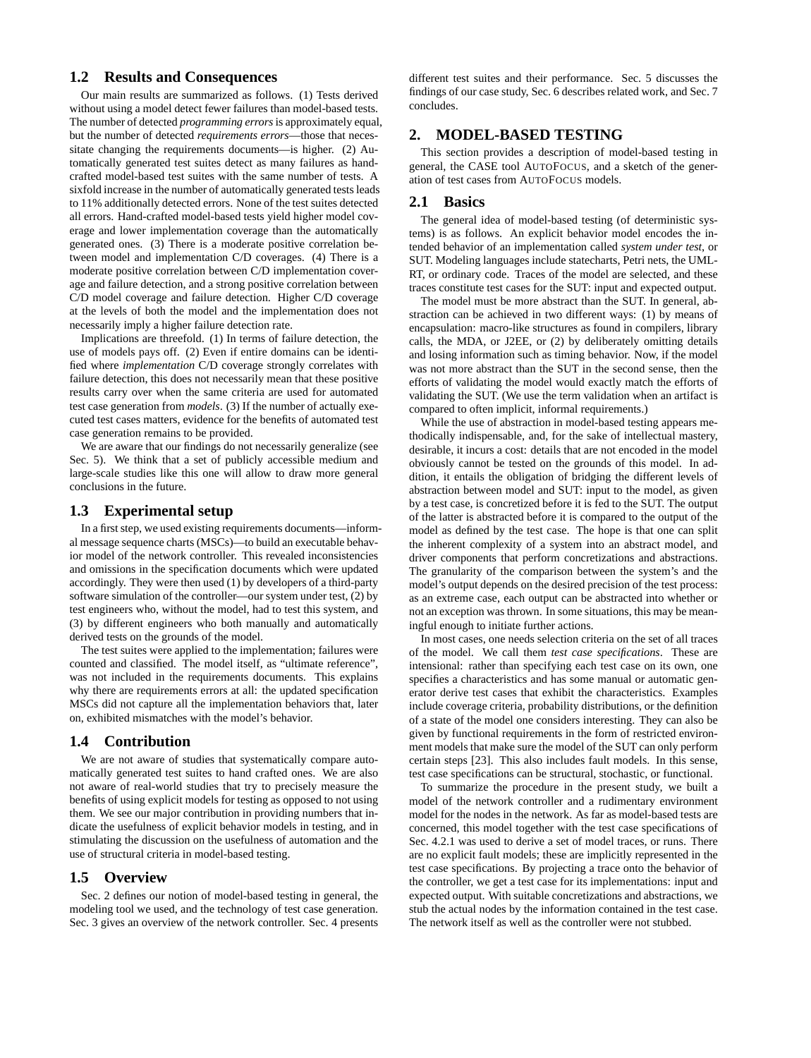## **1.2 Results and Consequences**

Our main results are summarized as follows. (1) Tests derived without using a model detect fewer failures than model-based tests. The number of detected *programming errors*is approximately equal, but the number of detected *requirements errors*—those that necessitate changing the requirements documents—is higher. (2) Automatically generated test suites detect as many failures as handcrafted model-based test suites with the same number of tests. A sixfold increase in the number of automatically generated tests leads to 11% additionally detected errors. None of the test suites detected all errors. Hand-crafted model-based tests yield higher model coverage and lower implementation coverage than the automatically generated ones. (3) There is a moderate positive correlation between model and implementation C/D coverages. (4) There is a moderate positive correlation between C/D implementation coverage and failure detection, and a strong positive correlation between C/D model coverage and failure detection. Higher C/D coverage at the levels of both the model and the implementation does not necessarily imply a higher failure detection rate.

Implications are threefold. (1) In terms of failure detection, the use of models pays off. (2) Even if entire domains can be identified where *implementation* C/D coverage strongly correlates with failure detection, this does not necessarily mean that these positive results carry over when the same criteria are used for automated test case generation from *models*. (3) If the number of actually executed test cases matters, evidence for the benefits of automated test case generation remains to be provided.

We are aware that our findings do not necessarily generalize (see Sec. 5). We think that a set of publicly accessible medium and large-scale studies like this one will allow to draw more general conclusions in the future.

## **1.3 Experimental setup**

In a first step, we used existing requirements documents—informal message sequence charts (MSCs)—to build an executable behavior model of the network controller. This revealed inconsistencies and omissions in the specification documents which were updated accordingly. They were then used (1) by developers of a third-party software simulation of the controller—our system under test, (2) by test engineers who, without the model, had to test this system, and (3) by different engineers who both manually and automatically derived tests on the grounds of the model.

The test suites were applied to the implementation; failures were counted and classified. The model itself, as "ultimate reference", was not included in the requirements documents. This explains why there are requirements errors at all: the updated specification MSCs did not capture all the implementation behaviors that, later on, exhibited mismatches with the model's behavior.

## **1.4 Contribution**

We are not aware of studies that systematically compare automatically generated test suites to hand crafted ones. We are also not aware of real-world studies that try to precisely measure the benefits of using explicit models for testing as opposed to not using them. We see our major contribution in providing numbers that indicate the usefulness of explicit behavior models in testing, and in stimulating the discussion on the usefulness of automation and the use of structural criteria in model-based testing.

## **1.5 Overview**

Sec. 2 defines our notion of model-based testing in general, the modeling tool we used, and the technology of test case generation. Sec. 3 gives an overview of the network controller. Sec. 4 presents different test suites and their performance. Sec. 5 discusses the findings of our case study, Sec. 6 describes related work, and Sec. 7 concludes.

#### **2. MODEL-BASED TESTING**

This section provides a description of model-based testing in general, the CASE tool AUTOFOCUS, and a sketch of the generation of test cases from AUTOFOCUS models.

#### **2.1 Basics**

The general idea of model-based testing (of deterministic systems) is as follows. An explicit behavior model encodes the intended behavior of an implementation called *system under test*, or SUT. Modeling languages include statecharts, Petri nets, the UML-RT, or ordinary code. Traces of the model are selected, and these traces constitute test cases for the SUT: input and expected output.

The model must be more abstract than the SUT. In general, abstraction can be achieved in two different ways: (1) by means of encapsulation: macro-like structures as found in compilers, library calls, the MDA, or J2EE, or (2) by deliberately omitting details and losing information such as timing behavior. Now, if the model was not more abstract than the SUT in the second sense, then the efforts of validating the model would exactly match the efforts of validating the SUT. (We use the term validation when an artifact is compared to often implicit, informal requirements.)

While the use of abstraction in model-based testing appears methodically indispensable, and, for the sake of intellectual mastery, desirable, it incurs a cost: details that are not encoded in the model obviously cannot be tested on the grounds of this model. In addition, it entails the obligation of bridging the different levels of abstraction between model and SUT: input to the model, as given by a test case, is concretized before it is fed to the SUT. The output of the latter is abstracted before it is compared to the output of the model as defined by the test case. The hope is that one can split the inherent complexity of a system into an abstract model, and driver components that perform concretizations and abstractions. The granularity of the comparison between the system's and the model's output depends on the desired precision of the test process: as an extreme case, each output can be abstracted into whether or not an exception was thrown. In some situations, this may be meaningful enough to initiate further actions.

In most cases, one needs selection criteria on the set of all traces of the model. We call them *test case specifications*. These are intensional: rather than specifying each test case on its own, one specifies a characteristics and has some manual or automatic generator derive test cases that exhibit the characteristics. Examples include coverage criteria, probability distributions, or the definition of a state of the model one considers interesting. They can also be given by functional requirements in the form of restricted environment models that make sure the model of the SUT can only perform certain steps [23]. This also includes fault models. In this sense, test case specifications can be structural, stochastic, or functional.

To summarize the procedure in the present study, we built a model of the network controller and a rudimentary environment model for the nodes in the network. As far as model-based tests are concerned, this model together with the test case specifications of Sec. 4.2.1 was used to derive a set of model traces, or runs. There are no explicit fault models; these are implicitly represented in the test case specifications. By projecting a trace onto the behavior of the controller, we get a test case for its implementations: input and expected output. With suitable concretizations and abstractions, we stub the actual nodes by the information contained in the test case. The network itself as well as the controller were not stubbed.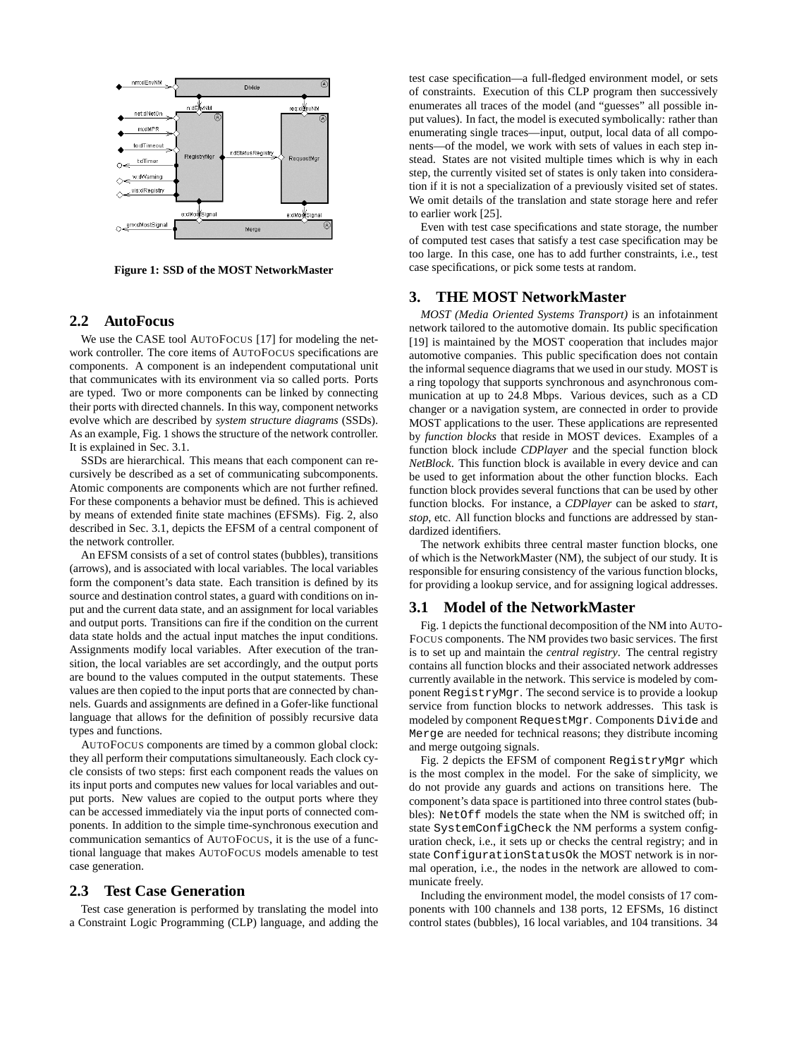

**Figure 1: SSD of the MOST NetworkMaster**

## **2.2 AutoFocus**

We use the CASE tool AUTOFOCUS [17] for modeling the network controller. The core items of AUTOFOCUS specifications are components. A component is an independent computational unit that communicates with its environment via so called ports. Ports are typed. Two or more components can be linked by connecting their ports with directed channels. In this way, component networks evolve which are described by *system structure diagrams* (SSDs). As an example, Fig. 1 shows the structure of the network controller. It is explained in Sec. 3.1.

SSDs are hierarchical. This means that each component can recursively be described as a set of communicating subcomponents. Atomic components are components which are not further refined. For these components a behavior must be defined. This is achieved by means of extended finite state machines (EFSMs). Fig. 2, also described in Sec. 3.1, depicts the EFSM of a central component of the network controller.

An EFSM consists of a set of control states (bubbles), transitions (arrows), and is associated with local variables. The local variables form the component's data state. Each transition is defined by its source and destination control states, a guard with conditions on input and the current data state, and an assignment for local variables and output ports. Transitions can fire if the condition on the current data state holds and the actual input matches the input conditions. Assignments modify local variables. After execution of the transition, the local variables are set accordingly, and the output ports are bound to the values computed in the output statements. These values are then copied to the input ports that are connected by channels. Guards and assignments are defined in a Gofer-like functional language that allows for the definition of possibly recursive data types and functions.

AUTOFOCUS components are timed by a common global clock: they all perform their computations simultaneously. Each clock cycle consists of two steps: first each component reads the values on its input ports and computes new values for local variables and output ports. New values are copied to the output ports where they can be accessed immediately via the input ports of connected components. In addition to the simple time-synchronous execution and communication semantics of AUTOFOCUS, it is the use of a functional language that makes AUTOFOCUS models amenable to test case generation.

#### **2.3 Test Case Generation**

Test case generation is performed by translating the model into a Constraint Logic Programming (CLP) language, and adding the test case specification—a full-fledged environment model, or sets of constraints. Execution of this CLP program then successively enumerates all traces of the model (and "guesses" all possible input values). In fact, the model is executed symbolically: rather than enumerating single traces—input, output, local data of all components—of the model, we work with sets of values in each step instead. States are not visited multiple times which is why in each step, the currently visited set of states is only taken into consideration if it is not a specialization of a previously visited set of states. We omit details of the translation and state storage here and refer to earlier work [25].

Even with test case specifications and state storage, the number of computed test cases that satisfy a test case specification may be too large. In this case, one has to add further constraints, i.e., test case specifications, or pick some tests at random.

#### **3. THE MOST NetworkMaster**

*MOST (Media Oriented Systems Transport)* is an infotainment network tailored to the automotive domain. Its public specification [19] is maintained by the MOST cooperation that includes major automotive companies. This public specification does not contain the informal sequence diagrams that we used in our study. MOST is a ring topology that supports synchronous and asynchronous communication at up to 24.8 Mbps. Various devices, such as a CD changer or a navigation system, are connected in order to provide MOST applications to the user. These applications are represented by *function blocks* that reside in MOST devices. Examples of a function block include *CDPlayer* and the special function block *NetBlock*. This function block is available in every device and can be used to get information about the other function blocks. Each function block provides several functions that can be used by other function blocks. For instance, a *CDPlayer* can be asked to *start*, *stop*, etc. All function blocks and functions are addressed by standardized identifiers.

The network exhibits three central master function blocks, one of which is the NetworkMaster (NM), the subject of our study. It is responsible for ensuring consistency of the various function blocks, for providing a lookup service, and for assigning logical addresses.

#### **3.1 Model of the NetworkMaster**

Fig. 1 depicts the functional decomposition of the NM into AUTO-FOCUS components. The NM provides two basic services. The first is to set up and maintain the *central registry*. The central registry contains all function blocks and their associated network addresses currently available in the network. This service is modeled by component RegistryMgr. The second service is to provide a lookup service from function blocks to network addresses. This task is modeled by component RequestMgr. Components Divide and Merge are needed for technical reasons; they distribute incoming and merge outgoing signals.

Fig. 2 depicts the EFSM of component RegistryMgr which is the most complex in the model. For the sake of simplicity, we do not provide any guards and actions on transitions here. The component's data space is partitioned into three control states (bubbles): NetOff models the state when the NM is switched off; in state SystemConfigCheck the NM performs a system configuration check, i.e., it sets up or checks the central registry; and in state ConfigurationStatusOk the MOST network is in normal operation, i.e., the nodes in the network are allowed to communicate freely.

Including the environment model, the model consists of 17 components with 100 channels and 138 ports, 12 EFSMs, 16 distinct control states (bubbles), 16 local variables, and 104 transitions. 34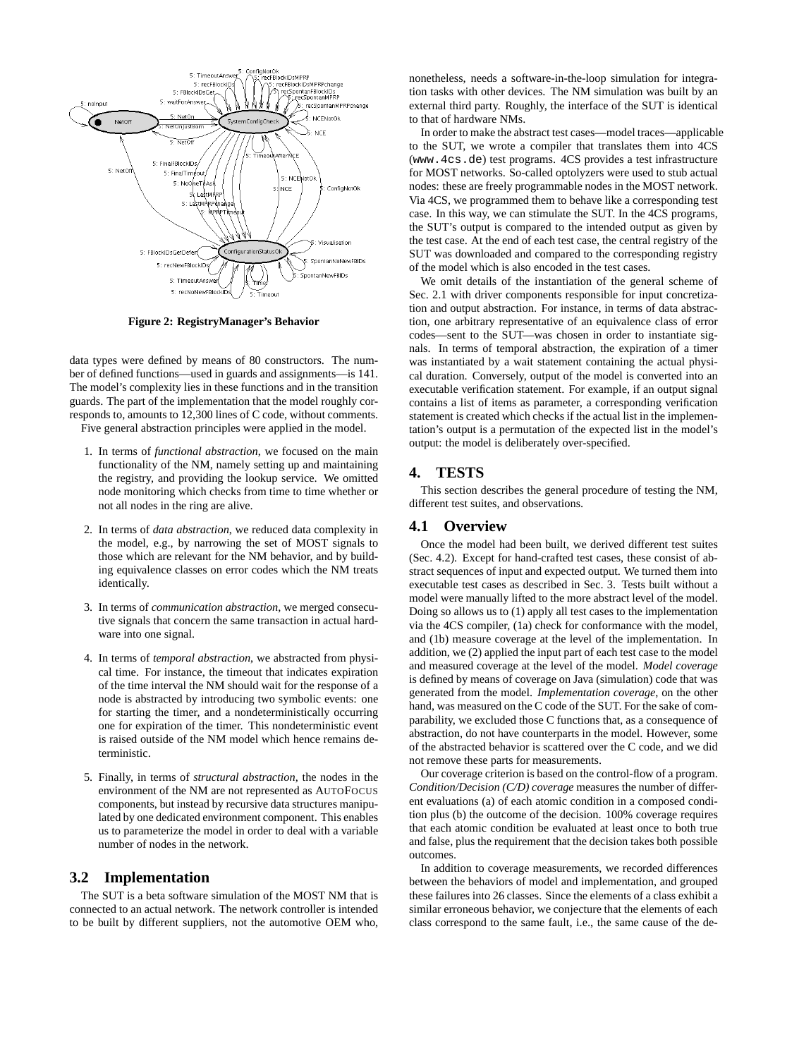

**Figure 2: RegistryManager's Behavior**

data types were defined by means of 80 constructors. The number of defined functions—used in guards and assignments—is 141. The model's complexity lies in these functions and in the transition guards. The part of the implementation that the model roughly corresponds to, amounts to 12,300 lines of C code, without comments. Five general abstraction principles were applied in the model.

- 1. In terms of *functional abstraction*, we focused on the main functionality of the NM, namely setting up and maintaining the registry, and providing the lookup service. We omitted node monitoring which checks from time to time whether or not all nodes in the ring are alive.
- 2. In terms of *data abstraction*, we reduced data complexity in the model, e.g., by narrowing the set of MOST signals to those which are relevant for the NM behavior, and by building equivalence classes on error codes which the NM treats identically.
- 3. In terms of *communication abstraction*, we merged consecutive signals that concern the same transaction in actual hardware into one signal.
- 4. In terms of *temporal abstraction*, we abstracted from physical time. For instance, the timeout that indicates expiration of the time interval the NM should wait for the response of a node is abstracted by introducing two symbolic events: one for starting the timer, and a nondeterministically occurring one for expiration of the timer. This nondeterministic event is raised outside of the NM model which hence remains deterministic.
- 5. Finally, in terms of *structural abstraction*, the nodes in the environment of the NM are not represented as AUTOFOCUS components, but instead by recursive data structures manipulated by one dedicated environment component. This enables us to parameterize the model in order to deal with a variable number of nodes in the network.

## **3.2 Implementation**

The SUT is a beta software simulation of the MOST NM that is connected to an actual network. The network controller is intended to be built by different suppliers, not the automotive OEM who, nonetheless, needs a software-in-the-loop simulation for integration tasks with other devices. The NM simulation was built by an external third party. Roughly, the interface of the SUT is identical to that of hardware NMs.

In order to make the abstract test cases—model traces—applicable to the SUT, we wrote a compiler that translates them into 4CS (www.4cs.de) test programs. 4CS provides a test infrastructure for MOST networks. So-called optolyzers were used to stub actual nodes: these are freely programmable nodes in the MOST network. Via 4CS, we programmed them to behave like a corresponding test case. In this way, we can stimulate the SUT. In the 4CS programs, the SUT's output is compared to the intended output as given by the test case. At the end of each test case, the central registry of the SUT was downloaded and compared to the corresponding registry of the model which is also encoded in the test cases.

We omit details of the instantiation of the general scheme of Sec. 2.1 with driver components responsible for input concretization and output abstraction. For instance, in terms of data abstraction, one arbitrary representative of an equivalence class of error codes—sent to the SUT—was chosen in order to instantiate signals. In terms of temporal abstraction, the expiration of a timer was instantiated by a wait statement containing the actual physical duration. Conversely, output of the model is converted into an executable verification statement. For example, if an output signal contains a list of items as parameter, a corresponding verification statement is created which checks if the actual list in the implementation's output is a permutation of the expected list in the model's output: the model is deliberately over-specified.

# **4. TESTS**

This section describes the general procedure of testing the NM, different test suites, and observations.

#### **4.1 Overview**

Once the model had been built, we derived different test suites (Sec. 4.2). Except for hand-crafted test cases, these consist of abstract sequences of input and expected output. We turned them into executable test cases as described in Sec. 3. Tests built without a model were manually lifted to the more abstract level of the model. Doing so allows us to (1) apply all test cases to the implementation via the 4CS compiler, (1a) check for conformance with the model, and (1b) measure coverage at the level of the implementation. In addition, we (2) applied the input part of each test case to the model and measured coverage at the level of the model. *Model coverage* is defined by means of coverage on Java (simulation) code that was generated from the model. *Implementation coverage*, on the other hand, was measured on the C code of the SUT. For the sake of comparability, we excluded those C functions that, as a consequence of abstraction, do not have counterparts in the model. However, some of the abstracted behavior is scattered over the C code, and we did not remove these parts for measurements.

Our coverage criterion is based on the control-flow of a program. *Condition/Decision (C/D) coverage* measures the number of different evaluations (a) of each atomic condition in a composed condition plus (b) the outcome of the decision. 100% coverage requires that each atomic condition be evaluated at least once to both true and false, plus the requirement that the decision takes both possible outcomes.

In addition to coverage measurements, we recorded differences between the behaviors of model and implementation, and grouped these failures into 26 classes. Since the elements of a class exhibit a similar erroneous behavior, we conjecture that the elements of each class correspond to the same fault, i.e., the same cause of the de-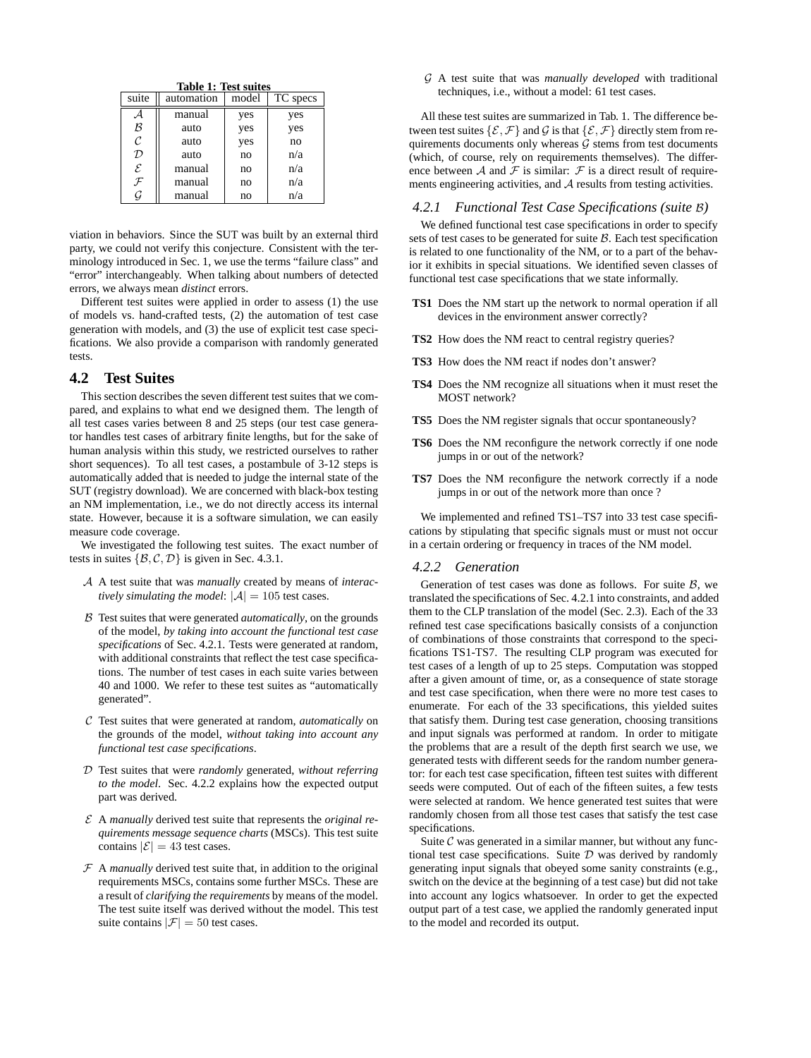| <b>Table 1: Test suites</b> |            |       |          |
|-----------------------------|------------|-------|----------|
| suite                       | automation | model | TC specs |
| А                           | manual     | yes   | yes      |
| $\mathcal{B}$               | auto       | yes   | yes      |
| $\mathcal{C}$               | auto       | yes   | no       |
| D                           | auto       | no    | n/a      |
| E                           | manual     | no    | n/a      |
| $\mathcal F$                | manual     | no    | n/a      |
|                             | manual     | no    | n/a      |

viation in behaviors. Since the SUT was built by an external third party, we could not verify this conjecture. Consistent with the terminology introduced in Sec. 1, we use the terms "failure class" and "error" interchangeably. When talking about numbers of detected errors, we always mean *distinct* errors.

Different test suites were applied in order to assess (1) the use of models vs. hand-crafted tests, (2) the automation of test case generation with models, and (3) the use of explicit test case specifications. We also provide a comparison with randomly generated tests.

#### **4.2 Test Suites**

This section describes the seven different test suites that we compared, and explains to what end we designed them. The length of all test cases varies between 8 and 25 steps (our test case generator handles test cases of arbitrary finite lengths, but for the sake of human analysis within this study, we restricted ourselves to rather short sequences). To all test cases, a postambule of 3-12 steps is automatically added that is needed to judge the internal state of the SUT (registry download). We are concerned with black-box testing an NM implementation, i.e., we do not directly access its internal state. However, because it is a software simulation, we can easily measure code coverage.

We investigated the following test suites. The exact number of tests in suites  $\{B, C, D\}$  is given in Sec. 4.3.1.

- A A test suite that was *manually* created by means of *interactively simulating the model:*  $|\mathcal{A}| = 105$  test cases.
- B Test suites that were generated *automatically*, on the grounds of the model, *by taking into account the functional test case specifications* of Sec. 4.2.1. Tests were generated at random, with additional constraints that reflect the test case specifications. The number of test cases in each suite varies between 40 and 1000. We refer to these test suites as "automatically generated".
- C Test suites that were generated at random, *automatically* on the grounds of the model, *without taking into account any functional test case specifications*.
- D Test suites that were *randomly* generated, *without referring to the model*. Sec. 4.2.2 explains how the expected output part was derived.
- E A *manually* derived test suite that represents the *original requirements message sequence charts* (MSCs). This test suite contains  $|\mathcal{E}| = 43$  test cases.
- $F$  A *manually* derived test suite that, in addition to the original requirements MSCs, contains some further MSCs. These are a result of *clarifying the requirements* by means of the model. The test suite itself was derived without the model. This test suite contains  $|\mathcal{F}| = 50$  test cases.

G A test suite that was *manually developed* with traditional techniques, i.e., without a model: 61 test cases.

All these test suites are summarized in Tab. 1. The difference between test suites  $\{\mathcal{E}, \mathcal{F}\}\$  and  $\mathcal{G}$  is that  $\{\mathcal{E}, \mathcal{F}\}\$  directly stem from requirements documents only whereas  $G$  stems from test documents (which, of course, rely on requirements themselves). The difference between A and F is similar: F is a direct result of requirements engineering activities, and A results from testing activities.

#### *4.2.1 Functional Test Case Specifications (suite* B*)*

We defined functional test case specifications in order to specify sets of test cases to be generated for suite  $B$ . Each test specification is related to one functionality of the NM, or to a part of the behavior it exhibits in special situations. We identified seven classes of functional test case specifications that we state informally.

- **TS1** Does the NM start up the network to normal operation if all devices in the environment answer correctly?
- **TS2** How does the NM react to central registry queries?
- **TS3** How does the NM react if nodes don't answer?
- **TS4** Does the NM recognize all situations when it must reset the MOST network?
- **TS5** Does the NM register signals that occur spontaneously?
- **TS6** Does the NM reconfigure the network correctly if one node jumps in or out of the network?
- **TS7** Does the NM reconfigure the network correctly if a node jumps in or out of the network more than once ?

We implemented and refined TS1–TS7 into 33 test case specifications by stipulating that specific signals must or must not occur in a certain ordering or frequency in traces of the NM model.

#### *4.2.2 Generation*

Generation of test cases was done as follows. For suite  $B$ , we translated the specifications of Sec. 4.2.1 into constraints, and added them to the CLP translation of the model (Sec. 2.3). Each of the 33 refined test case specifications basically consists of a conjunction of combinations of those constraints that correspond to the specifications TS1-TS7. The resulting CLP program was executed for test cases of a length of up to 25 steps. Computation was stopped after a given amount of time, or, as a consequence of state storage and test case specification, when there were no more test cases to enumerate. For each of the 33 specifications, this yielded suites that satisfy them. During test case generation, choosing transitions and input signals was performed at random. In order to mitigate the problems that are a result of the depth first search we use, we generated tests with different seeds for the random number generator: for each test case specification, fifteen test suites with different seeds were computed. Out of each of the fifteen suites, a few tests were selected at random. We hence generated test suites that were randomly chosen from all those test cases that satisfy the test case specifications.

Suite  $C$  was generated in a similar manner, but without any functional test case specifications. Suite  $D$  was derived by randomly generating input signals that obeyed some sanity constraints (e.g., switch on the device at the beginning of a test case) but did not take into account any logics whatsoever. In order to get the expected output part of a test case, we applied the randomly generated input to the model and recorded its output.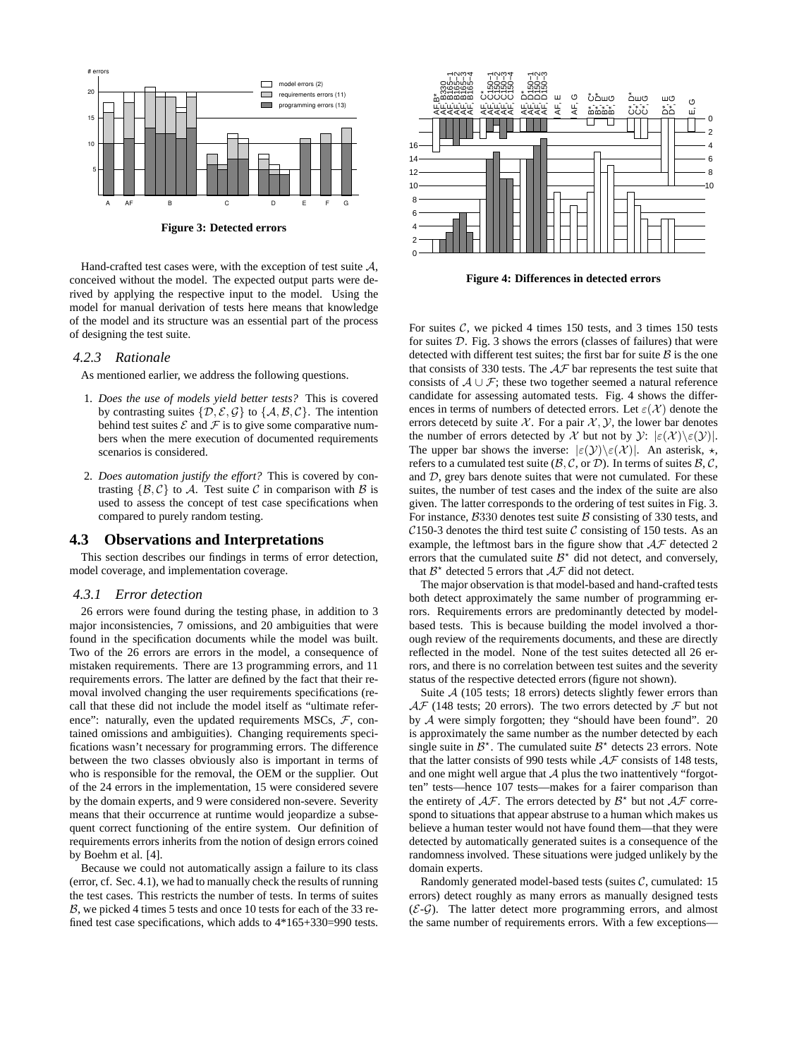

**Figure 3: Detected errors**

Hand-crafted test cases were, with the exception of test suite  $A$ , conceived without the model. The expected output parts were derived by applying the respective input to the model. Using the model for manual derivation of tests here means that knowledge of the model and its structure was an essential part of the process of designing the test suite.

## *4.2.3 Rationale*

As mentioned earlier, we address the following questions.

- 1. *Does the use of models yield better tests?* This is covered by contrasting suites  $\{D, \mathcal{E}, \mathcal{G}\}\$  to  $\{\mathcal{A}, \mathcal{B}, \mathcal{C}\}\$ . The intention behind test suites  $\mathcal E$  and  $\mathcal F$  is to give some comparative numbers when the mere execution of documented requirements scenarios is considered.
- 2. *Does automation justify the effort?* This is covered by contrasting  $\{B, C\}$  to A. Test suite C in comparison with B is used to assess the concept of test case specifications when compared to purely random testing.

#### **4.3 Observations and Interpretations**

This section describes our findings in terms of error detection, model coverage, and implementation coverage.

#### *4.3.1 Error detection*

26 errors were found during the testing phase, in addition to 3 major inconsistencies, 7 omissions, and 20 ambiguities that were found in the specification documents while the model was built. Two of the 26 errors are errors in the model, a consequence of mistaken requirements. There are 13 programming errors, and 11 requirements errors. The latter are defined by the fact that their removal involved changing the user requirements specifications (recall that these did not include the model itself as "ultimate reference": naturally, even the updated requirements MSCs,  $F$ , contained omissions and ambiguities). Changing requirements specifications wasn't necessary for programming errors. The difference between the two classes obviously also is important in terms of who is responsible for the removal, the OEM or the supplier. Out of the 24 errors in the implementation, 15 were considered severe by the domain experts, and 9 were considered non-severe. Severity means that their occurrence at runtime would jeopardize a subsequent correct functioning of the entire system. Our definition of requirements errors inherits from the notion of design errors coined by Boehm et al. [4].

Because we could not automatically assign a failure to its class (error, cf. Sec. 4.1), we had to manually check the results of running the test cases. This restricts the number of tests. In terms of suites B, we picked 4 times 5 tests and once 10 tests for each of the 33 refined test case specifications, which adds to 4\*165+330=990 tests.



**Figure 4: Differences in detected errors**

For suites  $C$ , we picked 4 times 150 tests, and 3 times 150 tests for suites D. Fig. 3 shows the errors (classes of failures) that were detected with different test suites; the first bar for suite  $\beta$  is the one that consists of 330 tests. The  $AF$  bar represents the test suite that consists of  $A \cup F$ ; these two together seemed a natural reference candidate for assessing automated tests. Fig. 4 shows the differences in terms of numbers of detected errors. Let  $\varepsilon(\mathcal{X})$  denote the errors detecetd by suite  $X$ . For a pair  $X$ ,  $Y$ , the lower bar denotes the number of errors detected by X but not by  $\mathcal{Y}: |\varepsilon(\mathcal{X})\backslash \varepsilon(\mathcal{Y})|$ . The upper bar shows the inverse:  $|\varepsilon(\mathcal{Y})\rangle \varepsilon(\mathcal{X})|$ . An asterisk,  $\star$ , refers to a cumulated test suite  $(\mathcal{B}, \mathcal{C}, \text{or } \mathcal{D})$ . In terms of suites  $\mathcal{B}, \mathcal{C},$ and  $D$ , grey bars denote suites that were not cumulated. For these suites, the number of test cases and the index of the suite are also given. The latter corresponds to the ordering of test suites in Fig. 3. For instance,  $B330$  denotes test suite  $B$  consisting of 330 tests, and  $C150-3$  denotes the third test suite C consisting of 150 tests. As an example, the leftmost bars in the figure show that  $A\mathcal{F}$  detected 2 errors that the cumulated suite  $\mathcal{B}^*$  did not detect, and conversely, that  $\mathcal{B}^*$  detected 5 errors that  $\mathcal{AF}$  did not detect.

The major observation is that model-based and hand-crafted tests both detect approximately the same number of programming errors. Requirements errors are predominantly detected by modelbased tests. This is because building the model involved a thorough review of the requirements documents, and these are directly reflected in the model. None of the test suites detected all 26 errors, and there is no correlation between test suites and the severity status of the respective detected errors (figure not shown).

Suite  $A$  (105 tests; 18 errors) detects slightly fewer errors than  $AF$  (148 tests; 20 errors). The two errors detected by  $\mathcal F$  but not by A were simply forgotten; they "should have been found". 20 is approximately the same number as the number detected by each single suite in  $\mathcal{B}^*$ . The cumulated suite  $\mathcal{B}^*$  detects 23 errors. Note that the latter consists of 990 tests while  $A\mathcal{F}$  consists of 148 tests, and one might well argue that  $A$  plus the two inattentively "forgotten" tests—hence 107 tests—makes for a fairer comparison than the entirety of  $A\mathcal{F}$ . The errors detected by  $\mathcal{B}^*$  but not  $A\mathcal{F}$  correspond to situations that appear abstruse to a human which makes us believe a human tester would not have found them—that they were detected by automatically generated suites is a consequence of the randomness involved. These situations were judged unlikely by the domain experts.

Randomly generated model-based tests (suites  $C$ , cumulated: 15 errors) detect roughly as many errors as manually designed tests  $(\mathcal{E}\text{-}\mathcal{G})$ . The latter detect more programming errors, and almost the same number of requirements errors. With a few exceptions—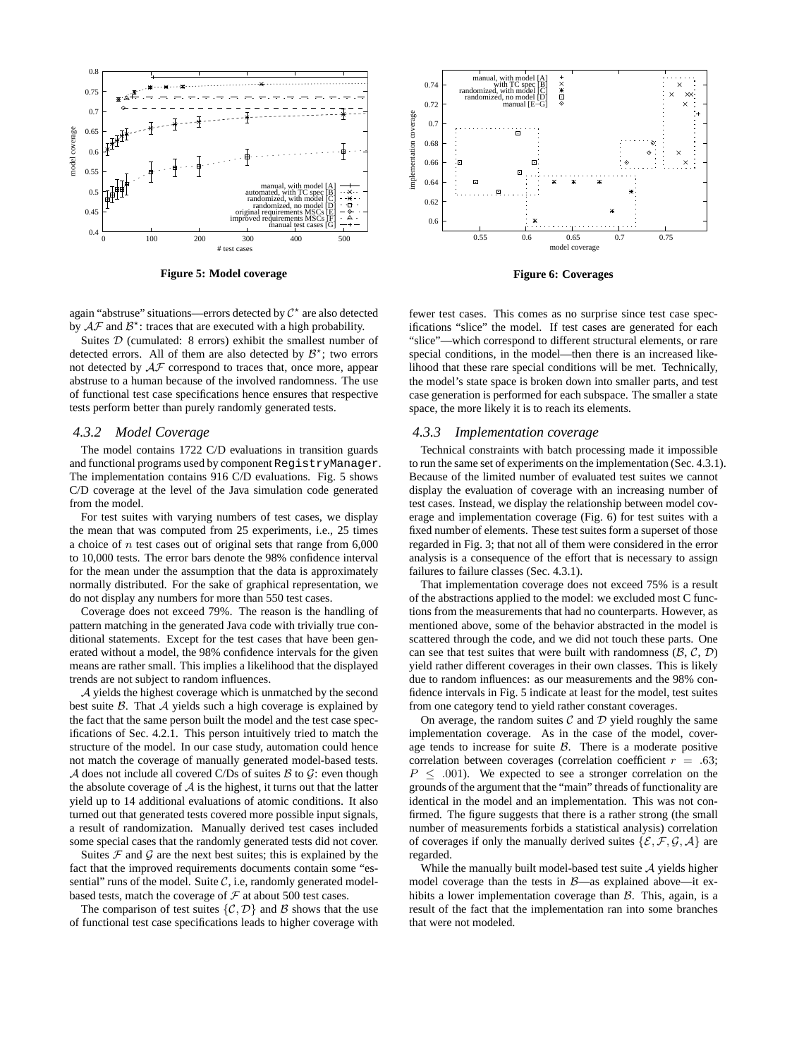

**Figure 5: Model coverage**

again "abstruse" situations—errors detected by  $\mathcal{C}^*$  are also detected by  $A\mathcal{F}$  and  $B^*$ : traces that are executed with a high probability.

Suites  $D$  (cumulated: 8 errors) exhibit the smallest number of detected errors. All of them are also detected by  $\mathcal{B}^*$ ; two errors not detected by  $A\mathcal{F}$  correspond to traces that, once more, appear abstruse to a human because of the involved randomness. The use of functional test case specifications hence ensures that respective tests perform better than purely randomly generated tests.

## *4.3.2 Model Coverage*

The model contains 1722 C/D evaluations in transition guards and functional programs used by component RegistryManager. The implementation contains 916 C/D evaluations. Fig. 5 shows C/D coverage at the level of the Java simulation code generated from the model.

For test suites with varying numbers of test cases, we display the mean that was computed from 25 experiments, i.e., 25 times a choice of  $n$  test cases out of original sets that range from  $6,000$ to 10,000 tests. The error bars denote the 98% confidence interval for the mean under the assumption that the data is approximately normally distributed. For the sake of graphical representation, we do not display any numbers for more than 550 test cases.

Coverage does not exceed 79%. The reason is the handling of pattern matching in the generated Java code with trivially true conditional statements. Except for the test cases that have been generated without a model, the 98% confidence intervals for the given means are rather small. This implies a likelihood that the displayed trends are not subject to random influences.

A yields the highest coverage which is unmatched by the second best suite  $\beta$ . That  $\mathcal A$  yields such a high coverage is explained by the fact that the same person built the model and the test case specifications of Sec. 4.2.1. This person intuitively tried to match the structure of the model. In our case study, automation could hence not match the coverage of manually generated model-based tests. A does not include all covered C/Ds of suites  $\beta$  to  $\mathcal{G}$ : even though the absolute coverage of  $A$  is the highest, it turns out that the latter yield up to 14 additional evaluations of atomic conditions. It also turned out that generated tests covered more possible input signals, a result of randomization. Manually derived test cases included some special cases that the randomly generated tests did not cover.

Suites  $\mathcal F$  and  $\mathcal G$  are the next best suites; this is explained by the fact that the improved requirements documents contain some "essential" runs of the model. Suite  $C$ , i.e, randomly generated modelbased tests, match the coverage of  $\mathcal F$  at about 500 test cases.

The comparison of test suites  $\{\mathcal{C}, \mathcal{D}\}\$  and  $\mathcal{B}$  shows that the use of functional test case specifications leads to higher coverage with



**Figure 6: Coverages**

fewer test cases. This comes as no surprise since test case specifications "slice" the model. If test cases are generated for each "slice"—which correspond to different structural elements, or rare special conditions, in the model—then there is an increased likelihood that these rare special conditions will be met. Technically, the model's state space is broken down into smaller parts, and test case generation is performed for each subspace. The smaller a state space, the more likely it is to reach its elements.

#### *4.3.3 Implementation coverage*

Technical constraints with batch processing made it impossible to run the same set of experiments on the implementation (Sec. 4.3.1). Because of the limited number of evaluated test suites we cannot display the evaluation of coverage with an increasing number of test cases. Instead, we display the relationship between model coverage and implementation coverage (Fig. 6) for test suites with a fixed number of elements. These test suites form a superset of those regarded in Fig. 3; that not all of them were considered in the error analysis is a consequence of the effort that is necessary to assign failures to failure classes (Sec. 4.3.1).

That implementation coverage does not exceed 75% is a result of the abstractions applied to the model: we excluded most C functions from the measurements that had no counterparts. However, as mentioned above, some of the behavior abstracted in the model is scattered through the code, and we did not touch these parts. One can see that test suites that were built with randomness  $(B, C, D)$ yield rather different coverages in their own classes. This is likely due to random influences: as our measurements and the 98% confidence intervals in Fig. 5 indicate at least for the model, test suites from one category tend to yield rather constant coverages.

On average, the random suites  $C$  and  $D$  yield roughly the same implementation coverage. As in the case of the model, coverage tends to increase for suite  $\beta$ . There is a moderate positive correlation between coverages (correlation coefficient  $r = .63$ ;  $P \leq .001$ ). We expected to see a stronger correlation on the grounds of the argument that the "main" threads of functionality are identical in the model and an implementation. This was not confirmed. The figure suggests that there is a rather strong (the small number of measurements forbids a statistical analysis) correlation of coverages if only the manually derived suites  $\{\mathcal{E}, \mathcal{F}, \mathcal{G}, \mathcal{A}\}\$ are regarded.

While the manually built model-based test suite A yields higher model coverage than the tests in  $\beta$ —as explained above—it exhibits a lower implementation coverage than  $\beta$ . This, again, is a result of the fact that the implementation ran into some branches that were not modeled.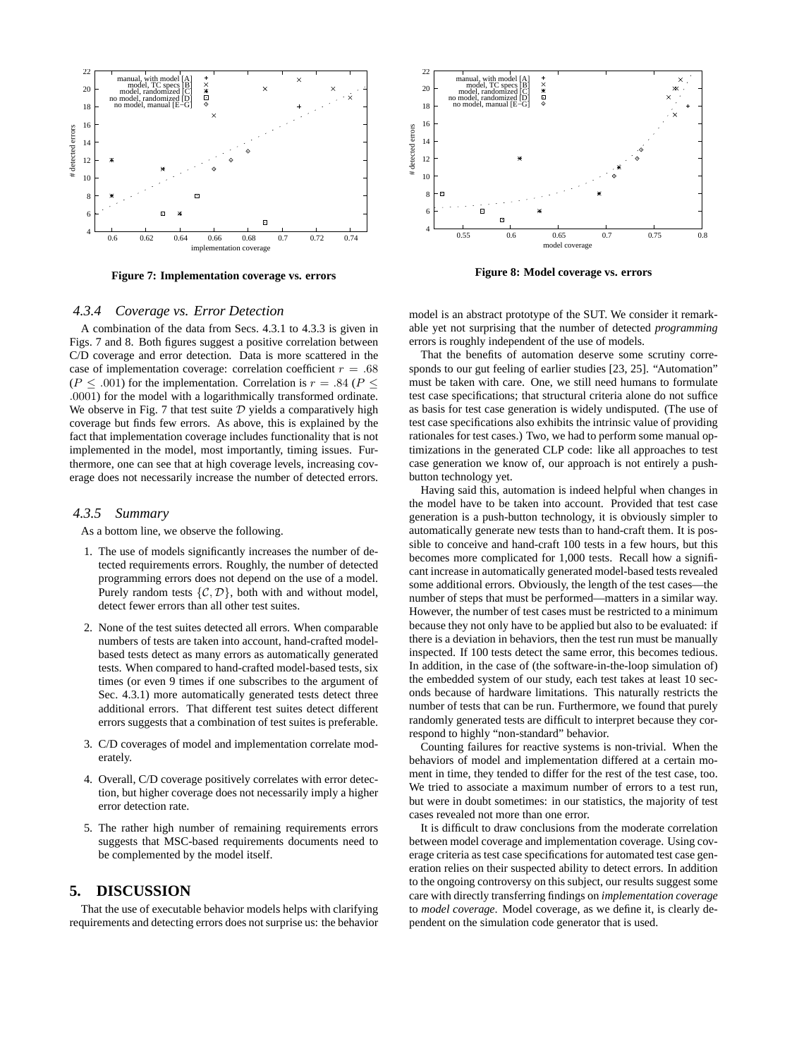

**Figure 7: Implementation coverage vs. errors**

#### *4.3.4 Coverage vs. Error Detection*

A combination of the data from Secs. 4.3.1 to 4.3.3 is given in Figs. 7 and 8. Both figures suggest a positive correlation between C/D coverage and error detection. Data is more scattered in the case of implementation coverage: correlation coefficient  $r = .68$ ( $P \leq .001$ ) for the implementation. Correlation is  $r = .84$  ( $P \leq$ .0001) for the model with a logarithmically transformed ordinate. We observe in Fig. 7 that test suite  $D$  yields a comparatively high coverage but finds few errors. As above, this is explained by the fact that implementation coverage includes functionality that is not implemented in the model, most importantly, timing issues. Furthermore, one can see that at high coverage levels, increasing coverage does not necessarily increase the number of detected errors.

#### *4.3.5 Summary*

As a bottom line, we observe the following.

- 1. The use of models significantly increases the number of detected requirements errors. Roughly, the number of detected programming errors does not depend on the use of a model. Purely random tests  $\{C, D\}$ , both with and without model, detect fewer errors than all other test suites.
- 2. None of the test suites detected all errors. When comparable numbers of tests are taken into account, hand-crafted modelbased tests detect as many errors as automatically generated tests. When compared to hand-crafted model-based tests, six times (or even 9 times if one subscribes to the argument of Sec. 4.3.1) more automatically generated tests detect three additional errors. That different test suites detect different errors suggests that a combination of test suites is preferable.
- 3. C/D coverages of model and implementation correlate moderately.
- 4. Overall, C/D coverage positively correlates with error detection, but higher coverage does not necessarily imply a higher error detection rate.
- 5. The rather high number of remaining requirements errors suggests that MSC-based requirements documents need to be complemented by the model itself.

## **5. DISCUSSION**

That the use of executable behavior models helps with clarifying requirements and detecting errors does not surprise us: the behavior



**Figure 8: Model coverage vs. errors**

model is an abstract prototype of the SUT. We consider it remarkable yet not surprising that the number of detected *programming* errors is roughly independent of the use of models.

That the benefits of automation deserve some scrutiny corresponds to our gut feeling of earlier studies [23, 25]. "Automation" must be taken with care. One, we still need humans to formulate test case specifications; that structural criteria alone do not suffice as basis for test case generation is widely undisputed. (The use of test case specifications also exhibits the intrinsic value of providing rationales for test cases.) Two, we had to perform some manual optimizations in the generated CLP code: like all approaches to test case generation we know of, our approach is not entirely a pushbutton technology yet.

Having said this, automation is indeed helpful when changes in the model have to be taken into account. Provided that test case generation is a push-button technology, it is obviously simpler to automatically generate new tests than to hand-craft them. It is possible to conceive and hand-craft 100 tests in a few hours, but this becomes more complicated for 1,000 tests. Recall how a significant increase in automatically generated model-based tests revealed some additional errors. Obviously, the length of the test cases—the number of steps that must be performed—matters in a similar way. However, the number of test cases must be restricted to a minimum because they not only have to be applied but also to be evaluated: if there is a deviation in behaviors, then the test run must be manually inspected. If 100 tests detect the same error, this becomes tedious. In addition, in the case of (the software-in-the-loop simulation of) the embedded system of our study, each test takes at least 10 seconds because of hardware limitations. This naturally restricts the number of tests that can be run. Furthermore, we found that purely randomly generated tests are difficult to interpret because they correspond to highly "non-standard" behavior.

Counting failures for reactive systems is non-trivial. When the behaviors of model and implementation differed at a certain moment in time, they tended to differ for the rest of the test case, too. We tried to associate a maximum number of errors to a test run, but were in doubt sometimes: in our statistics, the majority of test cases revealed not more than one error.

It is difficult to draw conclusions from the moderate correlation between model coverage and implementation coverage. Using coverage criteria as test case specifications for automated test case generation relies on their suspected ability to detect errors. In addition to the ongoing controversy on this subject, our results suggest some care with directly transferring findings on *implementation coverage* to *model coverage*. Model coverage, as we define it, is clearly dependent on the simulation code generator that is used.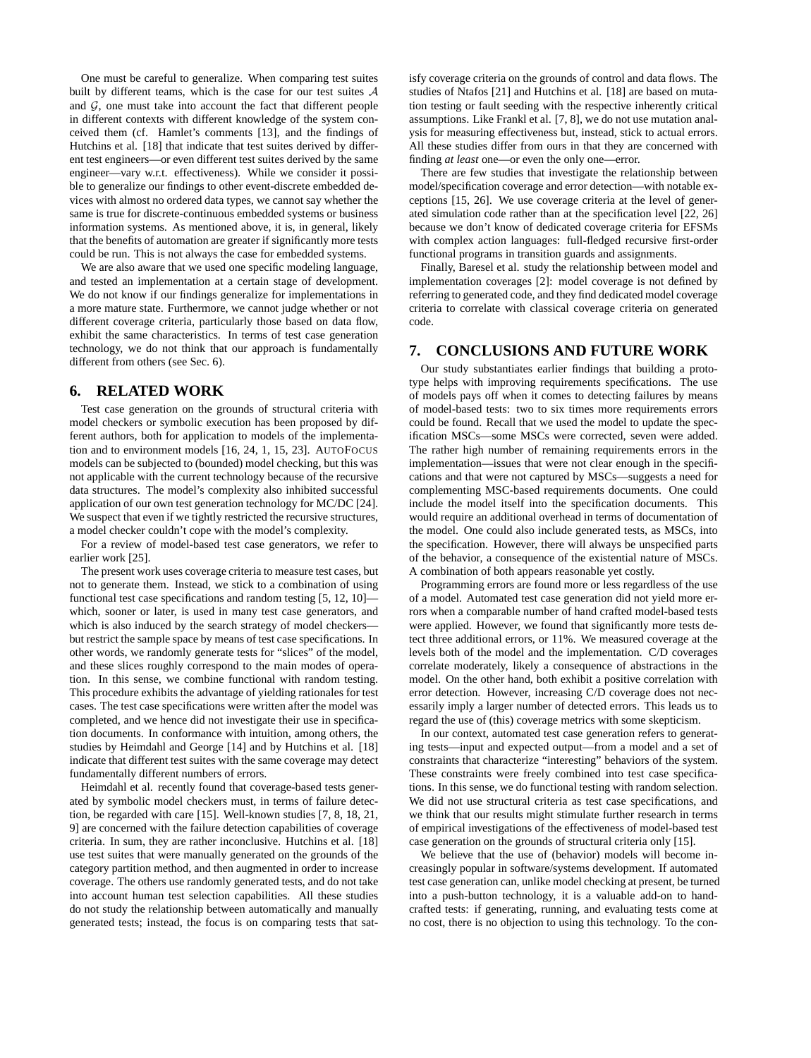One must be careful to generalize. When comparing test suites built by different teams, which is the case for our test suites A and  $G$ , one must take into account the fact that different people in different contexts with different knowledge of the system conceived them (cf. Hamlet's comments [13], and the findings of Hutchins et al. [18] that indicate that test suites derived by different test engineers—or even different test suites derived by the same engineer—vary w.r.t. effectiveness). While we consider it possible to generalize our findings to other event-discrete embedded devices with almost no ordered data types, we cannot say whether the same is true for discrete-continuous embedded systems or business information systems. As mentioned above, it is, in general, likely that the benefits of automation are greater if significantly more tests could be run. This is not always the case for embedded systems.

We are also aware that we used one specific modeling language, and tested an implementation at a certain stage of development. We do not know if our findings generalize for implementations in a more mature state. Furthermore, we cannot judge whether or not different coverage criteria, particularly those based on data flow, exhibit the same characteristics. In terms of test case generation technology, we do not think that our approach is fundamentally different from others (see Sec. 6).

#### **6. RELATED WORK**

Test case generation on the grounds of structural criteria with model checkers or symbolic execution has been proposed by different authors, both for application to models of the implementation and to environment models [16, 24, 1, 15, 23]. AUTOFOCUS models can be subjected to (bounded) model checking, but this was not applicable with the current technology because of the recursive data structures. The model's complexity also inhibited successful application of our own test generation technology for MC/DC [24]. We suspect that even if we tightly restricted the recursive structures, a model checker couldn't cope with the model's complexity.

For a review of model-based test case generators, we refer to earlier work [25].

The present work uses coverage criteria to measure test cases, but not to generate them. Instead, we stick to a combination of using functional test case specifications and random testing [5, 12, 10] which, sooner or later, is used in many test case generators, and which is also induced by the search strategy of model checkers but restrict the sample space by means of test case specifications. In other words, we randomly generate tests for "slices" of the model, and these slices roughly correspond to the main modes of operation. In this sense, we combine functional with random testing. This procedure exhibits the advantage of yielding rationales for test cases. The test case specifications were written after the model was completed, and we hence did not investigate their use in specification documents. In conformance with intuition, among others, the studies by Heimdahl and George [14] and by Hutchins et al. [18] indicate that different test suites with the same coverage may detect fundamentally different numbers of errors.

Heimdahl et al. recently found that coverage-based tests generated by symbolic model checkers must, in terms of failure detection, be regarded with care [15]. Well-known studies [7, 8, 18, 21, 9] are concerned with the failure detection capabilities of coverage criteria. In sum, they are rather inconclusive. Hutchins et al. [18] use test suites that were manually generated on the grounds of the category partition method, and then augmented in order to increase coverage. The others use randomly generated tests, and do not take into account human test selection capabilities. All these studies do not study the relationship between automatically and manually generated tests; instead, the focus is on comparing tests that satisfy coverage criteria on the grounds of control and data flows. The studies of Ntafos [21] and Hutchins et al. [18] are based on mutation testing or fault seeding with the respective inherently critical assumptions. Like Frankl et al. [7, 8], we do not use mutation analysis for measuring effectiveness but, instead, stick to actual errors. All these studies differ from ours in that they are concerned with finding *at least* one—or even the only one—error.

There are few studies that investigate the relationship between model/specification coverage and error detection—with notable exceptions [15, 26]. We use coverage criteria at the level of generated simulation code rather than at the specification level [22, 26] because we don't know of dedicated coverage criteria for EFSMs with complex action languages: full-fledged recursive first-order functional programs in transition guards and assignments.

Finally, Baresel et al. study the relationship between model and implementation coverages [2]: model coverage is not defined by referring to generated code, and they find dedicated model coverage criteria to correlate with classical coverage criteria on generated code.

#### **7. CONCLUSIONS AND FUTURE WORK**

Our study substantiates earlier findings that building a prototype helps with improving requirements specifications. The use of models pays off when it comes to detecting failures by means of model-based tests: two to six times more requirements errors could be found. Recall that we used the model to update the specification MSCs—some MSCs were corrected, seven were added. The rather high number of remaining requirements errors in the implementation—issues that were not clear enough in the specifications and that were not captured by MSCs—suggests a need for complementing MSC-based requirements documents. One could include the model itself into the specification documents. This would require an additional overhead in terms of documentation of the model. One could also include generated tests, as MSCs, into the specification. However, there will always be unspecified parts of the behavior, a consequence of the existential nature of MSCs. A combination of both appears reasonable yet costly.

Programming errors are found more or less regardless of the use of a model. Automated test case generation did not yield more errors when a comparable number of hand crafted model-based tests were applied. However, we found that significantly more tests detect three additional errors, or 11%. We measured coverage at the levels both of the model and the implementation. C/D coverages correlate moderately, likely a consequence of abstractions in the model. On the other hand, both exhibit a positive correlation with error detection. However, increasing C/D coverage does not necessarily imply a larger number of detected errors. This leads us to regard the use of (this) coverage metrics with some skepticism.

In our context, automated test case generation refers to generating tests—input and expected output—from a model and a set of constraints that characterize "interesting" behaviors of the system. These constraints were freely combined into test case specifications. In this sense, we do functional testing with random selection. We did not use structural criteria as test case specifications, and we think that our results might stimulate further research in terms of empirical investigations of the effectiveness of model-based test case generation on the grounds of structural criteria only [15].

We believe that the use of (behavior) models will become increasingly popular in software/systems development. If automated test case generation can, unlike model checking at present, be turned into a push-button technology, it is a valuable add-on to handcrafted tests: if generating, running, and evaluating tests come at no cost, there is no objection to using this technology. To the con